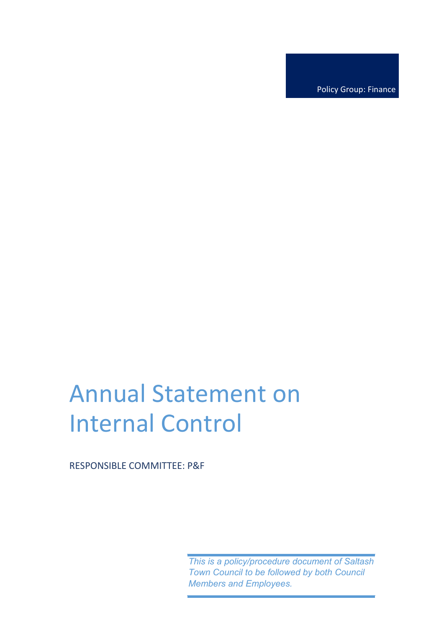Policy Group: Finance

# Annual Statement on Internal Control

RESPONSIBLE COMMITTEE: P&F

*This is a policy/procedure document of Saltash Town Council to be followed by both Council Members and Employees.*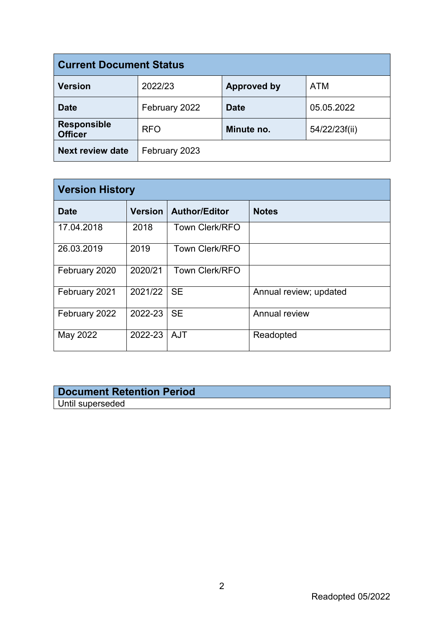| <b>Current Document Status</b>       |               |                    |               |  |
|--------------------------------------|---------------|--------------------|---------------|--|
| <b>Version</b>                       | 2022/23       | <b>Approved by</b> | <b>ATM</b>    |  |
| <b>Date</b>                          | February 2022 | <b>Date</b>        | 05.05.2022    |  |
| <b>Responsible</b><br><b>Officer</b> | <b>RFO</b>    | Minute no.         | 54/22/23f(ii) |  |
| <b>Next review date</b>              | February 2023 |                    |               |  |

| <b>Version History</b> |                |                       |                        |  |
|------------------------|----------------|-----------------------|------------------------|--|
| <b>Date</b>            | <b>Version</b> | <b>Author/Editor</b>  | <b>Notes</b>           |  |
| 17.04.2018             | 2018           | <b>Town Clerk/RFO</b> |                        |  |
| 26.03.2019             | 2019           | <b>Town Clerk/RFO</b> |                        |  |
| February 2020          | 2020/21        | <b>Town Clerk/RFO</b> |                        |  |
| February 2021          | 2021/22        | <b>SE</b>             | Annual review; updated |  |
| February 2022          | 2022-23        | <b>SE</b>             | Annual review          |  |
| May 2022               | 2022-23        | <b>AJT</b>            | Readopted              |  |

## **Document Retention Period** Until superseded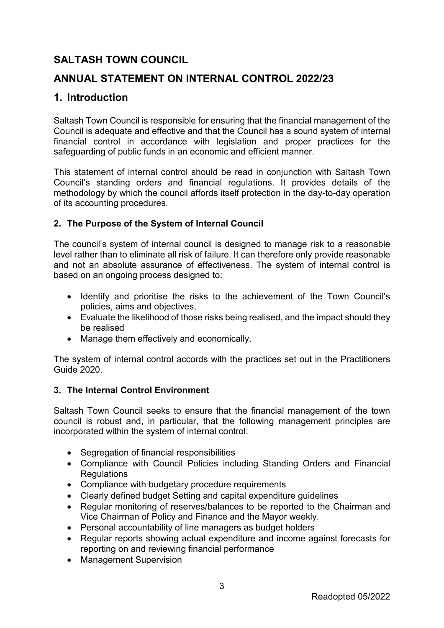# **SALTASH TOWN COUNCIL**

# **ANNUAL STATEMENT ON INTERNAL CONTROL 2022/23**

# **1. Introduction**

Saltash Town Council is responsible for ensuring that the financial management of the Council is adequate and effective and that the Council has a sound system of internal financial control in accordance with legislation and proper practices for the safeguarding of public funds in an economic and efficient manner.

This statement of internal control should be read in conjunction with Saltash Town Council's standing orders and financial regulations. It provides details of the methodology by which the council affords itself protection in the day-to-day operation of its accounting procedures.

## **2. The Purpose of the System of Internal Council**

The council's system of internal council is designed to manage risk to a reasonable level rather than to eliminate all risk of failure. It can therefore only provide reasonable and not an absolute assurance of effectiveness. The system of internal control is based on an ongoing process designed to:

- Identify and prioritise the risks to the achievement of the Town Council's policies, aims and objectives,
- Evaluate the likelihood of those risks being realised, and the impact should they be realised
- Manage them effectively and economically.

The system of internal control accords with the practices set out in the Practitioners Guide 2020.

#### **3. The Internal Control Environment**

Saltash Town Council seeks to ensure that the financial management of the town council is robust and, in particular, that the following management principles are incorporated within the system of internal control:

- Segregation of financial responsibilities
- Compliance with Council Policies including Standing Orders and Financial **Regulations**
- Compliance with budgetary procedure requirements
- Clearly defined budget Setting and capital expenditure guidelines
- Regular monitoring of reserves/balances to be reported to the Chairman and Vice Chairman of Policy and Finance and the Mayor weekly.
- Personal accountability of line managers as budget holders
- Regular reports showing actual expenditure and income against forecasts for reporting on and reviewing financial performance
- Management Supervision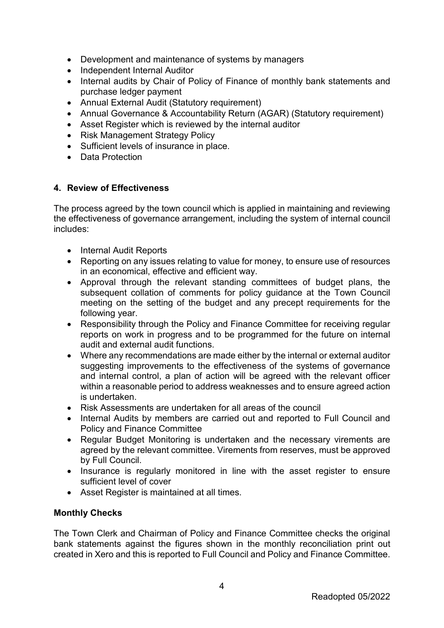- Development and maintenance of systems by managers
- Independent Internal Auditor
- Internal audits by Chair of Policy of Finance of monthly bank statements and purchase ledger payment
- Annual External Audit (Statutory requirement)
- Annual Governance & Accountability Return (AGAR) (Statutory requirement)
- Asset Register which is reviewed by the internal auditor
- Risk Management Strategy Policy
- Sufficient levels of insurance in place.
- Data Protection

#### **4. Review of Effectiveness**

The process agreed by the town council which is applied in maintaining and reviewing the effectiveness of governance arrangement, including the system of internal council includes:

- Internal Audit Reports
- Reporting on any issues relating to value for money, to ensure use of resources in an economical, effective and efficient way.
- Approval through the relevant standing committees of budget plans, the subsequent collation of comments for policy guidance at the Town Council meeting on the setting of the budget and any precept requirements for the following year.
- Responsibility through the Policy and Finance Committee for receiving regular reports on work in progress and to be programmed for the future on internal audit and external audit functions.
- Where any recommendations are made either by the internal or external auditor suggesting improvements to the effectiveness of the systems of governance and internal control, a plan of action will be agreed with the relevant officer within a reasonable period to address weaknesses and to ensure agreed action is undertaken.
- Risk Assessments are undertaken for all areas of the council
- Internal Audits by members are carried out and reported to Full Council and Policy and Finance Committee
- Regular Budget Monitoring is undertaken and the necessary virements are agreed by the relevant committee. Virements from reserves, must be approved by Full Council.
- Insurance is regularly monitored in line with the asset register to ensure sufficient level of cover
- Asset Register is maintained at all times.

#### **Monthly Checks**

The Town Clerk and Chairman of Policy and Finance Committee checks the original bank statements against the figures shown in the monthly reconciliation print out created in Xero and this is reported to Full Council and Policy and Finance Committee.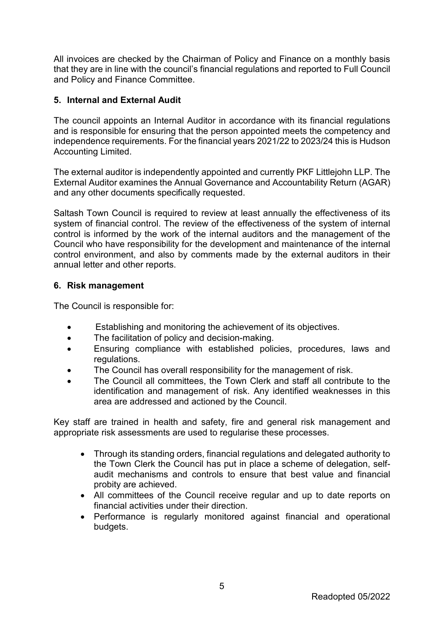All invoices are checked by the Chairman of Policy and Finance on a monthly basis that they are in line with the council's financial regulations and reported to Full Council and Policy and Finance Committee.

#### **5. Internal and External Audit**

The council appoints an Internal Auditor in accordance with its financial regulations and is responsible for ensuring that the person appointed meets the competency and independence requirements. For the financial years 2021/22 to 2023/24 this is Hudson Accounting Limited.

The external auditor is independently appointed and currently PKF Littlejohn LLP. The External Auditor examines the Annual Governance and Accountability Return (AGAR) and any other documents specifically requested.

Saltash Town Council is required to review at least annually the effectiveness of its system of financial control. The review of the effectiveness of the system of internal control is informed by the work of the internal auditors and the management of the Council who have responsibility for the development and maintenance of the internal control environment, and also by comments made by the external auditors in their annual letter and other reports.

#### **6. Risk management**

The Council is responsible for:

- Establishing and monitoring the achievement of its objectives.
- The facilitation of policy and decision-making.
- Ensuring compliance with established policies, procedures, laws and regulations.
- The Council has overall responsibility for the management of risk.
- The Council all committees, the Town Clerk and staff all contribute to the identification and management of risk. Any identified weaknesses in this area are addressed and actioned by the Council.

Key staff are trained in health and safety, fire and general risk management and appropriate risk assessments are used to regularise these processes.

- Through its standing orders, financial regulations and delegated authority to the Town Clerk the Council has put in place a scheme of delegation, selfaudit mechanisms and controls to ensure that best value and financial probity are achieved.
- All committees of the Council receive regular and up to date reports on financial activities under their direction.
- Performance is regularly monitored against financial and operational budgets.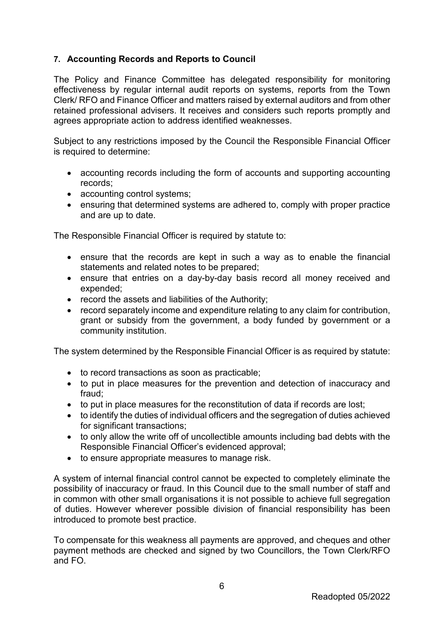## **7. Accounting Records and Reports to Council**

The Policy and Finance Committee has delegated responsibility for monitoring effectiveness by regular internal audit reports on systems, reports from the Town Clerk/ RFO and Finance Officer and matters raised by external auditors and from other retained professional advisers. It receives and considers such reports promptly and agrees appropriate action to address identified weaknesses.

Subject to any restrictions imposed by the Council the Responsible Financial Officer is required to determine:

- accounting records including the form of accounts and supporting accounting records;
- accounting control systems:
- ensuring that determined systems are adhered to, comply with proper practice and are up to date.

The Responsible Financial Officer is required by statute to:

- ensure that the records are kept in such a way as to enable the financial statements and related notes to be prepared;
- ensure that entries on a day-by-day basis record all money received and expended;
- record the assets and liabilities of the Authority;
- record separately income and expenditure relating to any claim for contribution, grant or subsidy from the government, a body funded by government or a community institution.

The system determined by the Responsible Financial Officer is as required by statute:

- to record transactions as soon as practicable;
- to put in place measures for the prevention and detection of inaccuracy and fraud;
- to put in place measures for the reconstitution of data if records are lost;
- to identify the duties of individual officers and the segregation of duties achieved for significant transactions;
- to only allow the write off of uncollectible amounts including bad debts with the Responsible Financial Officer's evidenced approval;
- to ensure appropriate measures to manage risk.

A system of internal financial control cannot be expected to completely eliminate the possibility of inaccuracy or fraud. In this Council due to the small number of staff and in common with other small organisations it is not possible to achieve full segregation of duties. However wherever possible division of financial responsibility has been introduced to promote best practice.

To compensate for this weakness all payments are approved, and cheques and other payment methods are checked and signed by two Councillors, the Town Clerk/RFO and FO.